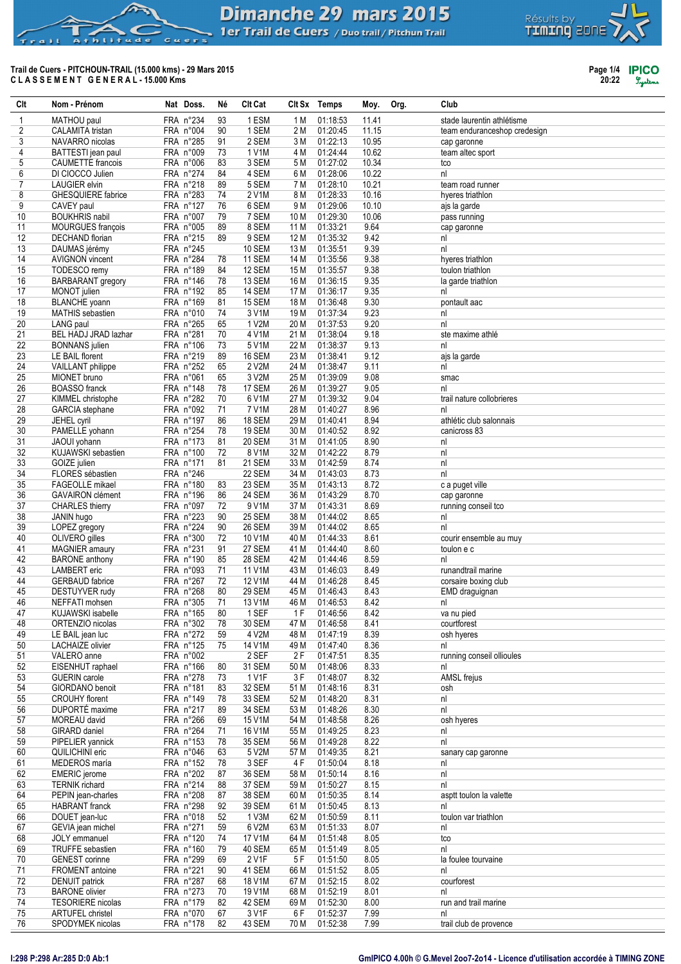## **Dimanche 29 mars 2015** 1 er Trail de Cuers / Duo trail / Pitchun Trail

# Trail de Cuers - PITCHOUN-TRAIL (15.000 kms) - 29 Mars 2015<br>CLASSEMENT GENERAL-15.000 Kms

hlitude

 $C_{11}$  $\sim$   $\sim$ 

 $6.31$ 

 $\triangleright$ 



Page 1/4 **IPICO**<br>20:22 *System* 

| Clt      | Nom - Prénom                                 | Nat Doss.              | Né       | <b>Clt Cat</b>         |              | Clt Sx Temps         | Moy.         | Org. | Club                                    |
|----------|----------------------------------------------|------------------------|----------|------------------------|--------------|----------------------|--------------|------|-----------------------------------------|
| 1        | MATHOU paul                                  | FRA n°234              | 93       | 1 ESM                  | 1 M          | 01:18:53             | 11.41        |      | stade laurentin athlétisme              |
| 2        | CALAMITA tristan                             | FRA n°004              | 90       | 1 SEM                  | 2 M          | 01:20:45             | 11.15        |      | team enduranceshop credesign            |
| 3        | NAVARRO nicolas                              | FRA n°285              | 91       | 2 SEM                  | 3 M          | 01:22:13             | 10.95        |      | cap garonne                             |
| 4        | BATTESTI jean paul                           | FRA n°009              | 73       | 1 V1M                  | 4 M          | 01:24:44             | 10.62        |      | team altec sport                        |
| 5        | <b>CAUMETTE</b> francois                     | FRA n°006              | 83       | 3 SEM                  | 5 M          | 01:27:02             | 10.34        |      | tco                                     |
| 6        | DI CIOCCO Julien                             | FRA n°274              | 84       | 4 SEM                  | 6 M          | 01:28:06             | 10.22        |      | nl                                      |
| 7        | <b>LAUGIER</b> elvin                         | FRA n°218              | 89       | 5 SEM                  | 7 M          | 01:28:10             | 10.21        |      | team road runner                        |
| 8        | <b>GHESQUIERE</b> fabrice                    | FRA n°283              | 74       | 2 V1M                  | 8 M          | 01:28:33             | 10.16        |      | hyeres triathlon                        |
| 9        | CAVEY paul                                   | FRA n°127              | 76       | 6 SEM                  | 9 M          | 01:29:06             | 10.10        |      | ajs la garde                            |
| 10       | <b>BOUKHRIS nabil</b>                        | FRA n°007              | 79       | 7 SEM                  | 10 M         | 01:29:30             | 10.06        |      | pass running                            |
| 11       | MOURGUES françois                            | FRA n°005              | 89       | 8 SEM                  | 11 M         | 01:33:21             | 9.64         |      | cap garonne                             |
| 12<br>13 | <b>DECHAND</b> florian                       | FRA n°215<br>FRA n°245 | 89       | 9 SEM<br><b>10 SEM</b> | 12 M<br>13 M | 01:35:32<br>01:35:51 | 9.42<br>9.39 |      | nl<br>nl                                |
| 14       | DAUMAS jérémy<br><b>AVIGNON</b> vincent      | FRA n°284              | 78       | 11 SEM                 | 14 M         | 01:35:56             | 9.38         |      | hyeres triathlon                        |
| 15       | TODESCO remy                                 | FRA n°189              | 84       | 12 SEM                 | 15 M         | 01:35:57             | 9.38         |      | toulon triathlon                        |
| 16       | <b>BARBARANT</b> gregory                     | FRA n°146              | 78       | 13 SEM                 | 16 M         | 01:36:15             | 9.35         |      | la garde triathlon                      |
| 17       | MONOT julien                                 | FRA n°192              | 85       | 14 SEM                 | 17 M         | 01:36:17             | 9.35         |      | nl                                      |
| 18       | <b>BLANCHE</b> yoann                         | FRA n°169              | 81       | 15 SEM                 | 18 M         | 01:36:48             | 9.30         |      | pontault aac                            |
| 19       | MATHIS sebastien                             | FRA n°010              | 74       | 3 V1M                  | 19 M         | 01:37:34             | 9.23         |      | nl                                      |
| 20       | LANG paul                                    | FRA n°265              | 65       | 1 V2M                  | 20 M         | 01:37:53             | 9.20         |      | nl                                      |
| 21       | BEL HADJ JRAD lazhar                         | FRA n°281              | 70       | 4 V1M                  | 21 M         | 01:38:04             | 9.18         |      | ste maxime athlé                        |
| 22       | <b>BONNANS</b> julien                        | FRA n°106              | 73       | 5 V1M                  | 22 M         | 01:38:37             | 9.13         |      | nl                                      |
| 23       | LE BAIL florent                              | FRA n°219              | 89       | 16 SEM                 | 23 M         | 01:38:41             | 9.12         |      | ajs la garde                            |
| 24       | VAILLANT philippe                            | FRA n°252              | 65       | 2 V2M                  | 24 M         | 01:38:47             | 9.11         |      | nl                                      |
| 25       | MIONET bruno                                 | FRA n°061              | 65       | 3 V2M                  | 25 M         | 01:39:09             | 9.08         |      | smac                                    |
| 26       | <b>BOASSO</b> franck                         | FRA n°148              | 78       | 17 SEM                 | 26 M         | 01:39:27             | 9.05         |      | nl                                      |
| 27       | KIMMEL christophe                            | FRA n°282              | 70       | 6 V1M                  | 27 M         | 01:39:32             | 9.04         |      | trail nature collobrieres               |
| 28       | <b>GARCIA</b> stephane                       | FRA n°092              | 71       | 7 V1M                  | 28 M         | 01:40:27             | 8.96         |      | nl                                      |
| 29<br>30 | JEHEL cyril                                  | FRA n°197<br>FRA n°254 | 86<br>78 | 18 SEM<br>19 SEM       | 29 M<br>30 M | 01:40:41<br>01:40:52 | 8.94<br>8.92 |      | athlétic club salonnais<br>canicross 83 |
| 31       | PAMELLE yohann<br>JAOUI yohann               | FRA n°173              | 81       | 20 SEM                 | 31 M         | 01:41:05             | 8.90         |      | nl                                      |
| 32       | KUJAWSKI sebastien                           | FRA n°100              | 72       | 8 V1M                  | 32 M         | 01:42:22             | 8.79         |      | nl                                      |
| 33       | GOIZE julien                                 | FRA n°171              | 81       | 21 SEM                 | 33 M         | 01:42:59             | 8.74         |      | nl                                      |
| 34       | FLORES sébastien                             | FRA n°246              |          | 22 SEM                 | 34 M         | 01:43:03             | 8.73         |      | nl                                      |
| 35       | <b>FAGEOLLE</b> mikael                       | FRA n°180              | 83       | 23 SEM                 | 35 M         | 01:43:13             | 8.72         |      | c a puget ville                         |
| 36       | <b>GAVAIRON</b> clément                      | FRA n°196              | 86       | 24 SEM                 | 36 M         | 01:43:29             | 8.70         |      | cap garonne                             |
| 37       | <b>CHARLES</b> thierry                       | FRA n°097              | 72       | 9 V1M                  | 37 M         | 01:43:31             | 8.69         |      | running conseil tco                     |
| 38       | JANIN hugo                                   | FRA n°223              | 90       | 25 SEM                 | 38 M         | 01:44:02             | 8.65         |      | nl                                      |
| 39       | LOPEZ gregory                                | FRA n°224              | 90       | 26 SEM                 | 39 M         | 01:44:02             | 8.65         |      | nl                                      |
| 40       | OLIVERO gilles                               | FRA n°300              | 72       | 10 V1M                 | 40 M         | 01:44:33             | 8.61         |      | courir ensemble au muy                  |
| 41<br>42 | <b>MAGNIER</b> amaury                        | FRA n°231<br>FRA n°190 | 91<br>85 | 27 SEM<br>28 SEM       | 41 M<br>42 M | 01:44:40<br>01:44:46 | 8.60<br>8.59 |      | toulon e c<br>nl                        |
| 43       | <b>BARONE</b> anthony<br><b>LAMBERT</b> eric | FRA n°093              | 71       | 11 V1M                 | 43 M         | 01:46:03             | 8.49         |      | runandtrail marine                      |
| 44       | <b>GERBAUD</b> fabrice                       | FRA n°267              | 72       | 12 V1M                 | 44 M         | 01:46:28             | 8.45         |      | corsaire boxing club                    |
| 45       | <b>DESTUYVER</b> rudy                        | FRA n°268              | 80       | 29 SEM                 | 45 M         | 01:46:43             | 8.43         |      | EMD draguignan                          |
| 46       | NEFFATI mohsen                               | FRA n°305              | 71       | 13 V1M                 | 46 M         | 01:46:53             | 8.42         |      | nl                                      |
| 47       | KUJAWSKI isabelle                            | FRA n°165              | 80       | 1 SEF                  | 1 F          | 01:46:56             | 8.42         |      | va nu pied                              |
| 48       | ORTENZIO nicolas                             | FRA n°302              | 78       | 30 SEM                 | 47 M         | 01:46:58             | 8.41         |      | courtforest                             |
| 49       | LE BAIL jean luc                             | FRA n°272              | 59       | 4 V2M                  | 48 M         | 01:47:19             | 8.39         |      | osh hyeres                              |
| 50       | <b>LACHAIZE</b> olivier                      | FRA n°125              | 75       | 14 V1M                 | 49 M         | 01:47:40             | 8.36         |      | nl                                      |
| 51       | VALERO anne                                  | FRA n°002              |          | 2 SEF                  | 2 F          | 01:47:51             | 8.35         |      | running conseil ollioules               |
| 52       | EISENHUT raphael                             | FRA n°166              | 80       | 31 SEM                 | 50 M         | 01:48:06             | 8.33         |      | nl                                      |
| 53       | <b>GUERIN</b> carole                         | FRA n°278              | 73       | 1 V1F                  | 3F           | 01:48:07             | 8.32         |      | AMSL frejus                             |
| 54<br>55 | GIORDANO benoit<br><b>CROUHY</b> florent     | FRA n°181<br>FRA n°149 | 83<br>78 | 32 SEM<br>33 SEM       | 51 M<br>52 M | 01:48:16<br>01:48:20 | 8.31<br>8.31 |      | osh<br>nl                               |
| 56       | DUPORTÉ maxime                               | FRA n°217              | 89       | 34 SEM                 | 53 M         | 01:48:26             | 8.30         |      | nl                                      |
| 57       | MOREAU david                                 | FRA n°266              | 69       | 15 V1M                 | 54 M         | 01:48:58             | 8.26         |      | osh hyeres                              |
| 58       | GIRARD daniel                                | FRA n°264              | 71       | 16 V1M                 | 55 M         | 01:49:25             | 8.23         |      | nl                                      |
| 59       | PIPELIER yannick                             | FRA n°153              | 78       | 35 SEM                 | 56 M         | 01:49:28             | 8.22         |      | nl                                      |
| 60       | <b>QUILICHINI eric</b>                       | FRA n°046              | 63       | 5 V2M                  | 57 M         | 01:49:35             | 8.21         |      | sanary cap garonne                      |
| 61       | MEDEROS maría                                | FRA n°152              | 78       | 3 SEF                  | 4F           | 01:50:04             | 8.18         |      | nl                                      |
| 62       | <b>EMERIC</b> jerome                         | FRA n°202              | 87       | 36 SEM                 | 58 M         | 01:50:14             | 8.16         |      | nl                                      |
| 63       | <b>TERNIK</b> richard                        | FRA n°214              | 88       | 37 SEM                 | 59 M         | 01:50:27             | 8.15         |      | nl                                      |
| 64       | PEPIN jean-charles                           | FRA n°208              | 87       | 38 SEM                 | 60 M         | 01:50:35             | 8.14         |      | asptt toulon la valette                 |
| 65       | <b>HABRANT</b> franck                        | FRA n°298              | 92       | 39 SEM                 | 61 M         | 01:50:45             | 8.13         |      | nl                                      |
| 66       | DOUET jean-luc                               | FRA n°018              | 52       | 1 V3M                  | 62 M         | 01:50:59             | 8.11         |      | toulon var triathlon                    |
| 67<br>68 | GEVIA jean michel<br>JOLY emmanuel           | FRA n°271<br>FRA n°120 | 59<br>74 | 6 V2M<br>17 V1M        | 63 M<br>64 M | 01:51:33<br>01:51:48 | 8.07<br>8.05 |      | nl<br>tco                               |
| 69       | TRUFFE sebastien                             | FRA n°160              | 79       | 40 SEM                 | 65 M         | 01:51:49             | 8.05         |      | nl                                      |
| 70       | <b>GENEST</b> corinne                        | FRA n°299              | 69       | 2 V1F                  | 5F           | 01:51:50             | 8.05         |      | la foulee tourvaine                     |
| 71       | <b>FROMENT</b> antoine                       | FRA n°221              | 90       | 41 SEM                 | 66 M         | 01:51:52             | 8.05         |      | nl                                      |
| 72       | <b>DENUIT</b> patrick                        | FRA n°287              | 68       | 18 V1M                 | 67 M         | 01:52:15             | 8.02         |      | courforest                              |
| 73       | <b>BARONE</b> olivier                        | FRA n°273              | 70       | 19 V1M                 | 68 M         | 01:52:19             | 8.01         |      | nl                                      |
| 74       | TESORIERE nicolas                            | FRA n°179              | 82       | 42 SEM                 | 69 M         | 01:52:30             | 8.00         |      | run and trail marine                    |
| 75       | ARTUFEL christel                             | FRA n°070              | 67       | 3 V1F                  | 6F           | 01:52:37             | 7.99         |      | nl                                      |
| 76       | SPODYMEK nicolas                             | FRA n°178              | 82       | 43 SEM                 | 70 M         | 01:52:38             | 7.99         |      | trail club de provence                  |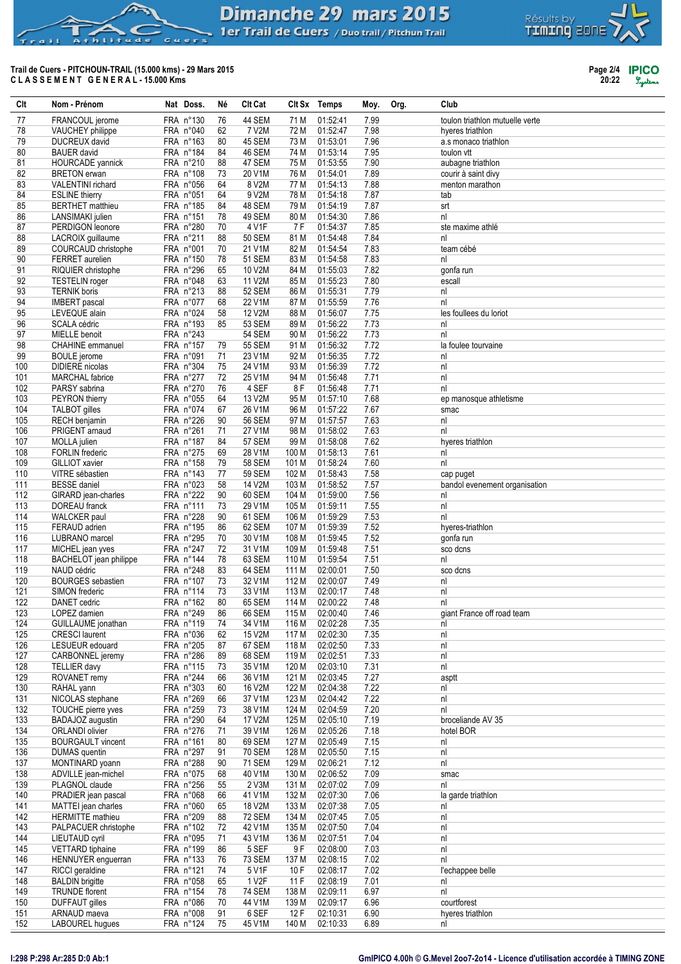## **Dimanche 29 mars 2015** 1 er Trail de Cuers / Duo trail / Pitchun Trail

# Trail de Cuers - PITCHOUN-TRAIL (15.000 kms) - 29 Mars 2015<br>CLASSEMENT GENERAL-15.000 Kms

hlitude

 $C_{11}$  $\sim$   $\sim$ 

 $6.31$ 

 $\triangleright$ 



Page 2/4 **IPICO**<br>20:22 *System* 

| Clt        | Nom - Prénom                                  | Nat Doss.              | Νé       | Clt Cat             |                | Clt Sx Temps         | Moy.         | Org. | Club                            |
|------------|-----------------------------------------------|------------------------|----------|---------------------|----------------|----------------------|--------------|------|---------------------------------|
| 77         | FRANCOUL jerome                               | FRA n°130              | 76       | 44 SEM              | 71 M           | 01:52:41             | 7.99         |      | toulon triathlon mutuelle verte |
| 78         | VAUCHEY philippe                              | FRA n°040              | 62       | 7 V2M               | 72 M           | 01:52:47             | 7.98         |      | hyeres triathlon                |
| 79         | DUCREUX david                                 | FRA n°163              | 80       | 45 SEM              | 73 M           | 01:53:01             | 7.96         |      | a.s monaco triathlon            |
| 80         | <b>BAUER</b> david                            | FRA n°184              | 84       | 46 SEM              | 74 M           | 01:53:14             | 7.95         |      | toulon vtt                      |
| 81         | <b>HOURCADE</b> yannick                       | FRA n°210              | 88       | 47 SEM              | 75 M           | 01:53:55             | 7.90         |      | aubagne triathlon               |
| 82         | <b>BRETON</b> erwan                           | FRA n°108              | 73       | 20 V1M              | 76 M           | 01:54:01             | 7.89         |      | courir à saint divy             |
| 83         | <b>VALENTINI</b> richard                      | FRA n°056              | 64       | 8 V2M               | 77 M           | 01:54:13             | 7.88         |      | menton marathon                 |
| 84         | <b>ESLINE</b> thierry                         | FRA n°051              | 64       | 9 V2M               | 78 M           | 01:54:18             | 7.87         |      | tab                             |
| 85<br>86   | <b>BERTHET</b> matthieu<br>LANSIMAKI julien   | FRA n°185<br>FRA n°151 | 84<br>78 | 48 SEM<br>49 SEM    | 79 M<br>80 M   | 01:54:19<br>01:54:30 | 7.87<br>7.86 |      | srt<br>nl                       |
| 87         | PERDIGON leonore                              | FRA n°280              | 70       | 4 V1F               | 7 F            | 01:54:37             | 7.85         |      | ste maxime athlé                |
| 88         | LACROIX guillaume                             | FRA n°211              | 88       | <b>50 SEM</b>       | 81 M           | 01:54:48             | 7.84         |      | nl                              |
| 89         | COURCAUD christophe                           | FRA n°001              | 70       | 21 V1M              | 82 M           | 01:54:54             | 7.83         |      | team cébé                       |
| 90         | FERRET aurelien                               | FRA n°150              | 78       | 51 SEM              | 83 M           | 01:54:58             | 7.83         |      | nl                              |
| 91         | RIQUIER christophe                            | FRA n°296              | 65       | 10 V2M              | 84 M           | 01:55:03             | 7.82         |      | gonfa run                       |
| 92         | <b>TESTELIN</b> roger                         | FRA n°048              | 63       | 11 V2M              | 85 M           | 01:55:23             | 7.80         |      | escall                          |
| 93         | <b>TERNIK boris</b>                           | FRA n°213              | 88       | 52 SEM              | 86 M           | 01:55:31             | 7.79         |      | nl                              |
| 94         | <b>IMBERT</b> pascal                          | FRA n°077              | 68       | 22 V1M              | 87 M           | 01:55:59             | 7.76         |      | n                               |
| 95<br>96   | LEVEQUE alain<br>SCALA cédric                 | FRA n°024<br>FRA n°193 | 58<br>85 | 12 V2M<br>53 SEM    | 88 M<br>89 M   | 01:56:07<br>01:56:22 | 7.75<br>7.73 |      | les foullees du loriot<br>nl    |
| 97         | MIELLE benoit                                 | FRA n°243              |          | <b>54 SEM</b>       | 90 M           | 01:56:22             | 7.73         |      | nl                              |
| 98         | <b>CHAHINE</b> emmanuel                       | FRA n°157              | 79       | <b>55 SEM</b>       | 91 M           | 01:56:32             | 7.72         |      | la foulee tourvaine             |
| 99         | <b>BOULE</b> jerome                           | FRA n°091              | 71       | 23 V1M              | 92 M           | 01:56:35             | 7.72         |      | nl                              |
| 100        | <b>DIDIERE</b> nicolas                        | FRA n°304              | 75       | 24 V1M              | 93 M           | 01:56:39             | 7.72         |      | nl                              |
| 101        | <b>MARCHAL</b> fabrice                        | FRA n°277              | 72       | 25 V1M              | 94 M           | 01:56:48             | 7.71         |      | nl                              |
| 102        | PARSY sabrina                                 | FRA n°270              | 76       | 4 SEF               | 8 F            | 01:56:48             | 7.71         |      | nl                              |
| 103        | PEYRON thierry                                | FRA n°055              | 64       | 13 V2M              | 95 M           | 01:57:10             | 7.68         |      | ep manosque athletisme          |
| 104        | <b>TALBOT</b> gilles                          | FRA n°074              | 67       | 26 V1M              | 96 M           | 01:57:22             | 7.67         |      | smac                            |
| 105        | <b>RECH</b> benjamin                          | FRA n°226              | 90<br>71 | <b>56 SEM</b>       | 97 M           | 01:57:57             | 7.63<br>7.63 |      | nl<br>n                         |
| 106<br>107 | PRIGENT arnaud<br>MOLLA julien                | FRA n°261<br>FRA n°187 | 84       | 27 V1M<br>57 SEM    | 98 M<br>99 M   | 01:58:02<br>01:58:08 | 7.62         |      | hyeres triathlon                |
| 108        | <b>FORLIN</b> frederic                        | FRA n°275              | 69       | 28 V1M              | 100 M          | 01:58:13             | 7.61         |      | nl                              |
| 109        | GILLIOT xavier                                | FRA n°158              | 79       | <b>58 SEM</b>       | 101 M          | 01:58:24             | 7.60         |      | nl                              |
| 110        | VITRE sébastien                               | FRA n°143              | 77       | <b>59 SEM</b>       | 102 M          | 01:58:43             | 7.58         |      | cap puget                       |
| 111        | <b>BESSE</b> daniel                           | FRA n°023              | 58       | 14 V2M              | 103 M          | 01:58:52             | 7.57         |      | bandol evenement organisation   |
| 112        | GIRARD jean-charles                           | FRA n°222              | 90       | 60 SEM              | 104 M          | 01:59:00             | 7.56         |      | nl                              |
| 113        | DOREAU franck                                 | FRA n°111              | 73       | 29 V1M              | 105 M          | 01:59:11             | 7.55         |      | nl                              |
| 114        | <b>WALCKER</b> paul                           | FRA n°228              | 90       | 61 SEM              | 106 M          | 01:59:29             | 7.53         |      | n                               |
| 115        | FERAUD adrien                                 | FRA n°195              | 86       | 62 SEM<br>30 V1M    | 107 M          | 01:59:39             | 7.52         |      | hyeres-triathlon                |
| 116<br>117 | LUBRANO marcel<br>MICHEL jean yves            | FRA n°295<br>FRA n°247 | 70<br>72 | 31 V1M              | 108 M<br>109 M | 01:59:45<br>01:59:48 | 7.52<br>7.51 |      | gonfa run<br>sco dcns           |
| 118        | <b>BACHELOT</b> jean philippe                 | FRA n°144              | 78       | 63 SEM              | 110 M          | 01:59:54             | 7.51         |      | nl                              |
| 119        | NAUD cédric                                   | FRA n°248              | 83       | 64 SEM              | 111 M          | 02:00:01             | 7.50         |      | sco dcns                        |
| 120        | <b>BOURGES</b> sebastien                      | FRA n°107              | 73       | 32 V1M              | 112 M          | 02:00:07             | 7.49         |      | nl                              |
| 121        | SIMON frederic                                | FRA n°114              | 73       | 33 V1M              | 113 M          | 02:00:17             | 7.48         |      | nl                              |
| 122        | DANET cedric                                  | FRA n°162              | 80       | 65 SEM              | 114 M          | 02:00:22             | 7.48         |      | n                               |
| 123        | LOPEZ damien                                  | FRA n°249              | 86       | 66 SEM              | 115 M          | 02:00:40             | 7.46         |      | giant France off road team      |
| 124        | GUILLAUME jonathan                            | FRA n°119              | 74       | 34 V1M              | 116 M          | 02:02:28             | 7.35         |      | nl                              |
| 125<br>126 | <b>CRESCI</b> laurent<br>LESUEUR edouard      | FRA n°036<br>FRA n°205 | 62<br>87 | 15 V2M<br>67 SEM    | 117 M<br>118 M | 02:02:30<br>02:02:50 | 7.35<br>7.33 |      | nl<br>nl                        |
| 127        | CARBONNEL jeremy                              | FRA n°286              | 89       | 68 SEM              | 119 M          | 02:02:51             | 7.33         |      | nl                              |
| 128        | <b>TELLIER davy</b>                           | FRA n°115              | 73       | 35 V1M              | 120 M          | 02:03:10             | 7.31         |      | nl                              |
| 129        | ROVANET remy                                  | FRA n°244              | 66       | 36 V1M              | 121 M          | 02:03:45             | 7.27         |      | asptt                           |
| 130        | RAHAL yann                                    | FRA n°303              | 60       | 16 V2M              | 122 M          | 02:04:38             | 7.22         |      | nl                              |
| 131        | NICOLAS stephane                              | FRA n°269              | 66       | 37 V1M              | 123 M          | 02:04:42             | 7.22         |      | nl                              |
| 132        | TOUCHE pierre yves                            | FRA n°259              | 73       | 38 V1M              | 124 M          | 02:04:59             | 7.20         |      | nl                              |
| 133        | BADAJOZ augustin                              | FRA n°290              | 64       | 17 V2M              | 125 M          | 02:05:10             | 7.19         |      | broceliande AV 35               |
| 134<br>135 | ORLANDI olivier<br><b>BOURGAULT</b> vincent   | FRA n°276<br>FRA n°161 | 71<br>80 | 39 V1M<br>69 SEM    | 126 M<br>127 M | 02:05:26<br>02:05:49 | 7.18<br>7.15 |      | hotel BOR                       |
| 136        | DUMAS quentin                                 | FRA n°297              | 91       | 70 SEM              | 128 M          | 02:05:50             | 7.15         |      | nl<br>nl                        |
| 137        | MONTINARD yoann                               | FRA n°288              | 90       | <b>71 SEM</b>       | 129 M          | 02:06:21             | 7.12         |      | nl                              |
| 138        | ADVILLE jean-michel                           | FRA n°075              | 68       | 40 V1M              | 130 M          | 02:06:52             | 7.09         |      | smac                            |
| 139        | PLAGNOL claude                                | FRA n°256              | 55       | 2 V3M               | 131 M          | 02:07:02             | 7.09         |      | nl                              |
| 140        | PRADIER jean pascal                           | FRA n°068              | 66       | 41 V1M              | 132 M          | 02:07:30             | 7.06         |      | la garde triathlon              |
| 141        | MATTEI jean charles                           | FRA n°060              | 65       | 18 V2M              | 133 M          | 02:07:38             | 7.05         |      | nl                              |
| 142        | <b>HERMITTE</b> mathieu                       | FRA n°209              | 88       | <b>72 SEM</b>       | 134 M          | 02:07:45             | 7.05         |      | nl                              |
| 143        | PALPACUER christophe                          | FRA n°102              | 72       | 42 V1M              | 135 M          | 02:07:50             | 7.04         |      | nl                              |
| 144<br>145 | <b>LIEUTAUD cyril</b>                         | FRA n°095<br>FRA n°199 | 71<br>86 | 43 V1M<br>5 SEF     | 136 M<br>9 F   | 02:07:51<br>02:08:00 | 7.04<br>7.03 |      | nl<br>nl                        |
| 146        | <b>VETTARD</b> tiphaine<br>HENNUYER enguerran | FRA n°133              | 76       | 73 SEM              | 137 M          | 02:08:15             | 7.02         |      | nl                              |
| 147        | RICCI geraldine                               | FRA n°121              | 74       | 5 V1F               | 10 F           | 02:08:17             | 7.02         |      | l'echappee belle                |
| 148        | <b>BALDIN</b> brigitte                        | FRA n°058              | 65       | 1 V2F               | 11 F           | 02:08:19             | 7.01         |      | nl                              |
| 149        | <b>TRUNDE</b> florent                         | FRA n°154              | 78       | 74 SEM              | 138 M          | 02:09:11             | 6.97         |      | n                               |
| 150        | <b>DUFFAUT</b> gilles                         | FRA n°086              | 70       | 44 V1M              | 139 M          | 02:09:17             | 6.96         |      | courtforest                     |
| 151        | ARNAUD maeva                                  | FRA n°008              | 91       | 6 SEF               | 12 F           | 02:10:31             | 6.90         |      | hyeres triathlon                |
| 152        | LAROUREL hugues                               | FRA n°124              | 75       | 45 V <sub>1</sub> M | 140 M          | 02.10.33             | 6.89         |      | nl                              |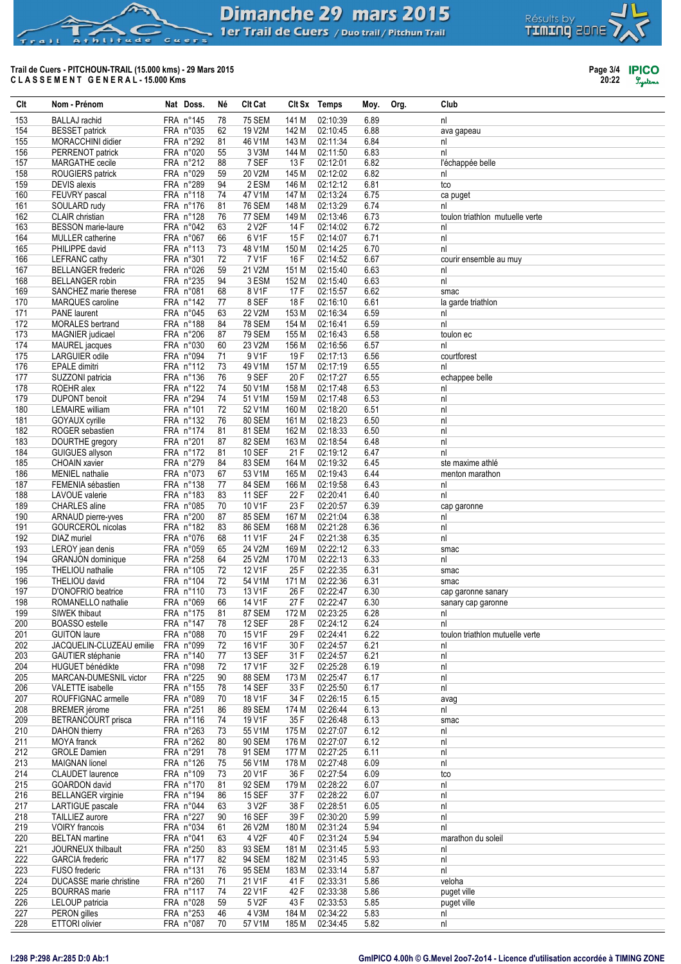# **Dimanche 29 mars 2015**

Club

Org.

Moy.

1er Trail de Cuers / Duo trail / Pitchun Trail

Clt Sx Temps

#### Trail de Cuers - PITCHOUN-TRAIL (15.000 kms) - 29 Mars 2015 CLASSEMENT GENERAL-15.000 Kms

d e

Nat Doss.

Né

**Clt Cat** 

 $h \cup i + u$ 

Nom - Prénom

Clt

| 153        | <b>BALLAJ</b> rachid           | FRA n°145              | 78       | <b>75 SEM</b>      | 141 M          | 02:10:39             | 6.89         | nl                              |
|------------|--------------------------------|------------------------|----------|--------------------|----------------|----------------------|--------------|---------------------------------|
| 154        | <b>BESSET</b> patrick          | FRA n°035              | 62       | 19 V2M             | 142 M          | 02:10:45             | 6.88         | ava gapeau                      |
| 155        | MORACCHINI didier              | FRA n°292              | 81       | 46 V1M             | 143 M          | 02:11:34             | 6.84         | nl                              |
| 156        | PERRENOT patrick               | FRA n°020              | 55       | 3 V3M              | 144 M          | 02:11:50             | 6.83         | nl                              |
| 157        | MARGATHE cecile                | FRA n°212              | 88       | 7 SEF              | 13 F           | 02:12:01             | 6.82         | l'échappée belle                |
|            |                                |                        |          |                    |                |                      |              |                                 |
| 158        | ROUGIERS patrick               | FRA n°029              | 59       | 20 V2M             | 145 M          | 02:12:02             | 6.82         | nl                              |
| 159        | <b>DEVIS</b> alexis            | FRA n°289              | 94       | 2 ESM              | 146 M          | 02:12:12             | 6.81         | tco                             |
| 160        | FEUVRY pascal                  | FRA n°118              | 74       | 47 V1M             | 147 M          | 02:13:24             | 6.75         | ca puget                        |
| 161        | SOULARD rudy                   | FRA n°176              | 81       | <b>76 SEM</b>      | 148 M          | 02:13:29             | 6.74         | nl                              |
| 162        | <b>CLAIR</b> christian         | FRA n°128              | 76       | 77 SEM             | 149 M          | 02:13:46             | 6.73         | toulon triathlon mutuelle verte |
| 163        | <b>BESSON</b> marie-laure      | FRA n°042              | 63       | 2 V <sub>2</sub> F | 14 F           | 02:14:02             | 6.72         | nl                              |
| 164        | <b>MULLER</b> catherine        | FRA n°067              | 66       | 6 V1F              | 15 F           | 02:14:07             | 6.71         | nl                              |
| 165        | PHILIPPE david                 | FRA n°113              | 73       | 48 V1M             | 150 M          | 02:14:25             | 6.70         | nl                              |
|            | <b>LEFRANC</b> cathy           | FRA n°301              | 72       | 7 V1F              |                |                      | 6.67         |                                 |
| 166        |                                |                        |          |                    | 16 F           | 02:14:52             |              | courir ensemble au muy          |
| 167        | <b>BELLANGER</b> frederic      | FRA n°026              | 59       | 21 V2M             | 151 M          | 02:15:40             | 6.63         | nl                              |
| 168        | <b>BELLANGER</b> robin         | FRA n°235              | 94       | 3 ESM              | 152 M          | 02:15:40             | 6.63         | nl                              |
| 169        | SANCHEZ marie therese          | FRA n°081              | 68       | 8 V1F              | 17 F           | 02:15:57             | 6.62         | smac                            |
| 170        | MARQUES caroline               | FRA n°142              | 77       | 8 SEF              | 18 F           | 02:16:10             | 6.61         | la garde triathlon              |
| 171        | <b>PANE</b> laurent            | FRA n°045              | 63       | 22 V2M             | 153 M          | 02:16:34             | 6.59         | nl                              |
| 172        | <b>MORALES</b> bertrand        | FRA n°188              | 84       | <b>78 SEM</b>      | 154 M          | 02:16:41             | 6.59         | nl                              |
| 173        | MAGNIER judicael               | FRA n°206              | 87       | <b>79 SEM</b>      | 155 M          | 02:16:43             | 6.58         | toulon ec                       |
|            |                                | FRA n°030              | 60       | 23 V2M             |                |                      |              | nl                              |
| 174        | MAUREL jacques                 |                        |          |                    | 156 M          | 02:16:56             | 6.57         |                                 |
| 175        | LARGUIER odile                 | FRA n°094              | 71       | 9 V1F              | 19 F           | 02:17:13             | 6.56         | courtforest                     |
| 176        | <b>EPALE</b> dimitri           | FRA n°112              | 73       | 49 V1M             | 157 M          | 02:17:19             | 6.55         | nl                              |
| 177        | SUZZONI patricia               | FRA n°136              | 76       | 9 SEF              | 20 F           | 02:17:27             | 6.55         | echappee belle                  |
| 178        | ROEHR alex                     | FRA n°122              | 74       | 50 V1M             | 158 M          | 02:17:48             | 6.53         | nl                              |
| 179        | <b>DUPONT</b> benoit           | FRA n°294              | 74       | 51 V1M             | 159 M          | 02:17:48             | 6.53         | nl                              |
| 180        | <b>LEMAIRE</b> william         | FRA n°101              | 72       | 52 V1M             | 160 M          | 02:18:20             | 6.51         | nl                              |
| 181        | GOYAUX cyrille                 | FRA n°132              | 76       | 80 SEM             | 161 M          | 02:18:23             | 6.50         | n                               |
| 182        | ROGER sebastien                | FRA n°174              | 81       | 81 SEM             | 162 M          | 02:18:33             | 6.50         | nl                              |
|            |                                |                        |          |                    |                |                      |              |                                 |
| 183        | DOURTHE gregory                | FRA n°201              | 87       | 82 SEM             | 163 M          | 02:18:54             | 6.48         | nl                              |
| 184        | <b>GUIGUES allyson</b>         | FRA n°172              | 81       | <b>10 SEF</b>      | 21 F           | 02:19:12             | 6.47         | nl                              |
| 185        | <b>CHOAIN xavier</b>           | FRA n°279              | 84       | 83 SEM             | 164 M          | 02:19:32             | 6.45         | ste maxime athlé                |
| 186        | <b>MENIEL</b> nathalie         | FRA n°073              | 67       | 53 V1M             | 165 M          | 02:19:43             | 6.44         | menton marathon                 |
| 187        | FEMENIA sébastien              | FRA n°138              | 77       | 84 SEM             | 166 M          | 02:19:58             | 6.43         | nl                              |
| 188        | LAVOUE valerie                 | FRA n°183              | 83       | <b>11 SEF</b>      | 22 F           | 02:20:41             | 6.40         | nl                              |
| 189        | <b>CHARLES</b> aline           | FRA n°085              | 70       | 10 V1F             | 23 F           | 02:20:57             | 6.39         | cap garonne                     |
| 190        | ARNAUD pierre-yves             | FRA n°200              | 87       | 85 SEM             | 167 M          | 02:21:04             | 6.38         | nl                              |
|            |                                |                        |          |                    |                |                      |              |                                 |
| 191        | GOURCEROL nicolas              | FRA n°182              | 83       | 86 SEM             | 168 M          | 02:21:28             | 6.36         | nl                              |
| 192        | DIAZ muriel                    | FRA n°076              | 68       | 11 V1F             | 24 F           | 02:21:38             | 6.35         | nl                              |
| 193        | LEROY jean denis               | FRA n°059              | 65       | 24 V2M             | 169 M          | 02:22:12             | 6.33         | smac                            |
| 194        | <b>GRANJON</b> dominique       | FRA n°258              | 64       | 25 V2M             | 170 M          | 02:22:13             | 6.33         | nl                              |
| 195        | THELIOU nathalie               | FRA n°105              | 72       | 12 V1F             | 25 F           | 02:22:35             | 6.31         | smac                            |
| 196        | THELIOU david                  | FRA n°104              | 72       | 54 V1M             | 171 M          | 02:22:36             | 6.31         | smac                            |
| 197        | D'ONOFRIO beatrice             | FRA n°110              | 73       | 13 V1F             | 26 F           | 02:22:47             | 6.30         | cap garonne sanary              |
| 198        | ROMANELLO nathalie             | FRA n°069              | 66       | 14 V1F             | 27 F           | 02:22:47             | 6.30         | sanary cap garonne              |
| 199        | SIWEK thibaut                  | FRA n°175              | 81       | 87 SEM             | 172 M          | 02:23:25             | 6.28         | nl                              |
| 200        | <b>BOASSO</b> estelle          | FRA n°147              | 78       | 12 SEF             | 28 F           | 02:24:12             | 6.24         | nl                              |
|            |                                |                        |          |                    |                |                      |              |                                 |
| 201        | <b>GUITON</b> laure            | FRA n°088              | 70       | 15 V1F             | 29 F           | 02:24:41             | 6.22         | toulon triathlon mutuelle verte |
| 202        | JACQUELIN-CLUZEAU emilie       | FRA n°099              | 72       | 16 V1F             | 30 F           | 02:24:57             | 6.21         | nl                              |
| 203        | GAUTIER stéphanie              | FRA n°140              | 77       | 13 SEF             | 31 F           | 02:24:57             | 6.21         | nl                              |
| 204        | <b>HUGUET</b> bénédikte        | FRA n°098              | 72       | 17 V1F             | 32 F           | 02:25:28             | 6.19         | nl                              |
| 205        | MARCAN-DUMESNIL victor         | FRA n°225              | 90       | 88 SEM             | 173 M          | 02:25:47             | 6.17         | nl                              |
| 206        | VALETTE isabelle               | FRA n°155              | 78       | <b>14 SEF</b>      | 33 F           | 02:25:50             | 6.17         | nl                              |
| 207        | ROUFFIGNAC armelle             | FRA n°089              | 70       | 18 V1F             | 34 F           | 02:26:15             | 6.15         | avag                            |
| 208        | <b>BREMER</b> jérome           | FRA n°251              | 86       | 89 SEM             | 174 M          | 02:26:44             | 6.13         | nl                              |
| 209        | BETRANCOURT prisca             | FRA n°116              | 74       | 19 V1F             | 35 F           | 02:26:48             | 6.13         |                                 |
|            |                                |                        |          |                    |                |                      |              | smac                            |
| 210        | DAHON thierry                  | FRA n°263              | 73       | 55 V1M             | 175 M          | 02:27:07             | 6.12         | nl                              |
| 211        | MOYA franck                    | FRA n°262              | 80       | 90 SEM             | 176 M          | 02:27:07             | 6.12         | nl                              |
| 212        | <b>GROLE Damien</b>            | FRA n°291              | 78       | 91 SEM             | 177 M          | 02:27:25             | 6.11         | nl                              |
| 213        | <b>MAIGNAN</b> lionel          | FRA n°126              | 75       | 56 V1M             | 178 M          | 02:27:48             | 6.09         | nl                              |
| 214        | CLAUDET laurence               | FRA n°109              | 73       | 20 V1F             | 36 F           | 02:27:54             | 6.09         | tco                             |
| 215        |                                |                        |          |                    |                |                      |              |                                 |
| 216        |                                |                        |          |                    |                |                      |              |                                 |
|            | <b>GOARDON</b> david           | FRA n°170              | 81       | 92 SEM             | 179 M          | 02:28:22             | 6.07         | nl                              |
|            | <b>BELLANGER</b> virginie      | FRA n°194              | 86       | <b>15 SEF</b>      | 37 F           | 02:28:22             | 6.07         | nl                              |
| 217        | LARTIGUE pascale               | FRA n°044              | 63       | 3 V2F              | 38 F           | 02:28:51             | 6.05         | nl                              |
| 218        | TAILLIEZ aurore                | FRA n°227              | 90       | <b>16 SEF</b>      | 39 F           | 02:30:20             | 5.99         | nl                              |
| 219        | <b>VOIRY</b> francois          | FRA n°034              | 61       | 26 V2M             | 180 M          | 02:31:24             | 5.94         | nl                              |
| 220        | <b>BELTAN</b> martine          | FRA n°041              | 63       | 4 V2F              | 40 F           | 02:31:24             | 5.94         | marathon du soleil              |
| 221        | JOURNEUX thilbault             | FRA n°250              | 83       | 93 SEM             | 181 M          | 02:31:45             | 5.93         | nl                              |
| 222        | <b>GARCIA</b> frederic         |                        | 82       | 94 SEM             | 182 M          |                      |              | nl                              |
|            |                                | FRA n°177              |          |                    |                | 02:31:45             | 5.93         |                                 |
| 223        | <b>FUSO</b> frederic           | FRA n°131              | 76       | 95 SEM             | 183 M          | 02:33:14             | 5.87         | nl                              |
| 224        | DUCASSE marie christine        | FRA n°260              | 71       | 21 V1F             | 41 F           | 02:33:31             | 5.86         | veloha                          |
| 225        | <b>BOURRAS</b> marie           | FRA n°117              | 74       | 22 V1F             | 42 F           | 02:33:38             | 5.86         | puget ville                     |
| 226        | LELOUP patricia                | FRA n°028              | 59       | 5 V2F              | 43 F           | 02:33:53             | 5.85         | puget ville                     |
| 227<br>228 | PERON gilles<br>ETTORI olivier | FRA n°253<br>FRA n°087 | 46<br>70 | 4 V3M<br>57 V1M    | 184 M<br>185 M | 02:34:22<br>02:34:45 | 5.83<br>5.82 | nl<br>nl                        |